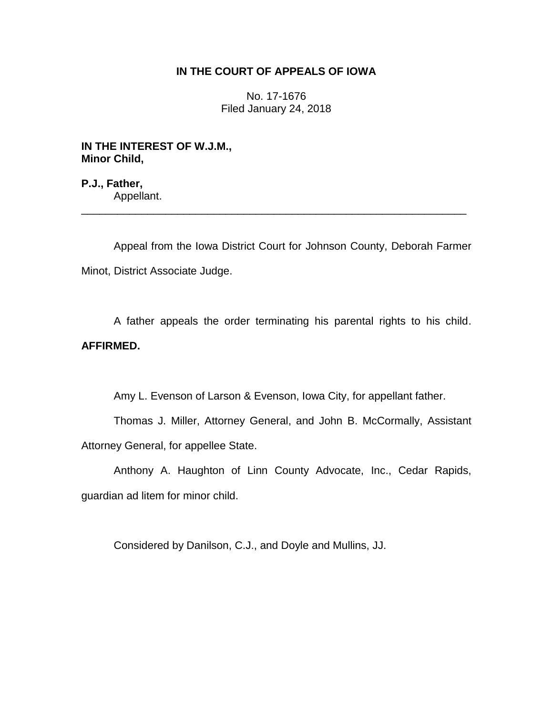## **IN THE COURT OF APPEALS OF IOWA**

No. 17-1676 Filed January 24, 2018

**IN THE INTEREST OF W.J.M., Minor Child,**

**P.J., Father,** Appellant. \_\_\_\_\_\_\_\_\_\_\_\_\_\_\_\_\_\_\_\_\_\_\_\_\_\_\_\_\_\_\_\_\_\_\_\_\_\_\_\_\_\_\_\_\_\_\_\_\_\_\_\_\_\_\_\_\_\_\_\_\_\_\_\_

Appeal from the Iowa District Court for Johnson County, Deborah Farmer Minot, District Associate Judge.

A father appeals the order terminating his parental rights to his child. **AFFIRMED.**

Amy L. Evenson of Larson & Evenson, Iowa City, for appellant father.

Thomas J. Miller, Attorney General, and John B. McCormally, Assistant Attorney General, for appellee State.

Anthony A. Haughton of Linn County Advocate, Inc., Cedar Rapids, guardian ad litem for minor child.

Considered by Danilson, C.J., and Doyle and Mullins, JJ.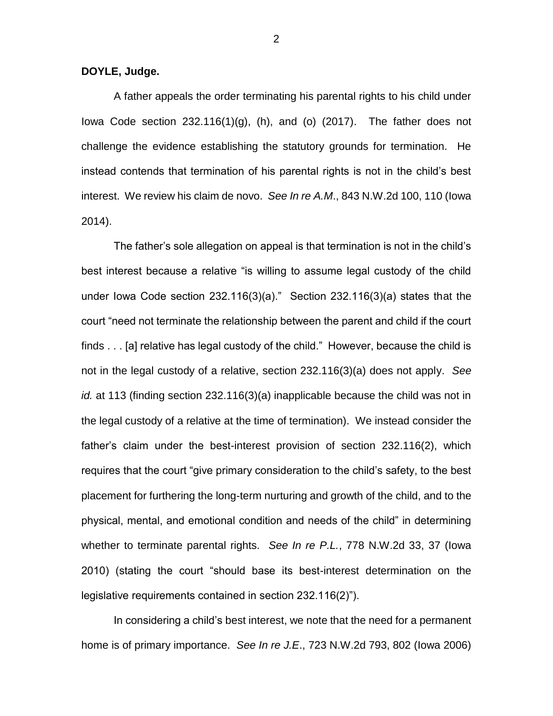## **DOYLE, Judge.**

A father appeals the order terminating his parental rights to his child under Iowa Code section  $232.116(1)(g)$ , (h), and (o)  $(2017)$ . The father does not challenge the evidence establishing the statutory grounds for termination. He instead contends that termination of his parental rights is not in the child's best interest. We review his claim de novo. *See In re A.M*., 843 N.W.2d 100, 110 (Iowa 2014).

The father's sole allegation on appeal is that termination is not in the child's best interest because a relative "is willing to assume legal custody of the child under Iowa Code section 232.116(3)(a)." Section 232.116(3)(a) states that the court "need not terminate the relationship between the parent and child if the court finds . . . [a] relative has legal custody of the child." However, because the child is not in the legal custody of a relative, section 232.116(3)(a) does not apply. *See id.* at 113 (finding section 232.116(3)(a) inapplicable because the child was not in the legal custody of a relative at the time of termination). We instead consider the father's claim under the best-interest provision of section 232.116(2), which requires that the court "give primary consideration to the child's safety, to the best placement for furthering the long-term nurturing and growth of the child, and to the physical, mental, and emotional condition and needs of the child" in determining whether to terminate parental rights. *See In re P.L.*, 778 N.W.2d 33, 37 (Iowa 2010) (stating the court "should base its best-interest determination on the legislative requirements contained in section 232.116(2)").

In considering a child's best interest, we note that the need for a permanent home is of primary importance. *See In re J.E*., 723 N.W.2d 793, 802 (Iowa 2006)